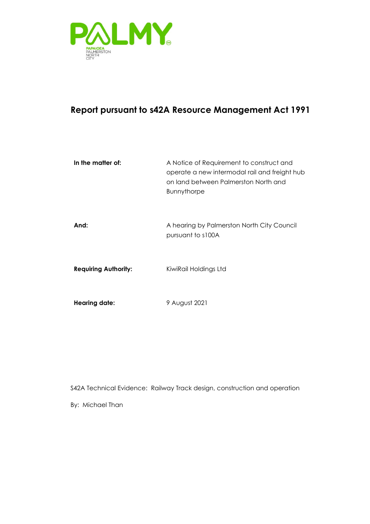

### **Report pursuant to s42A Resource Management Act 1991**

| In the matter of:           | A Notice of Requirement to construct and<br>operate a new intermodal rail and freight hub<br>on land between Palmerston North and<br><b>Bunnythorpe</b> |
|-----------------------------|---------------------------------------------------------------------------------------------------------------------------------------------------------|
| And:                        | A hearing by Palmerston North City Council<br>pursuant to s100A                                                                                         |
| <b>Requiring Authority:</b> | KiwiRail Holdings Ltd                                                                                                                                   |
| <b>Hearing date:</b>        | 9 August 2021                                                                                                                                           |

S42A Technical Evidence: Railway Track design, construction and operation

By: Michael Than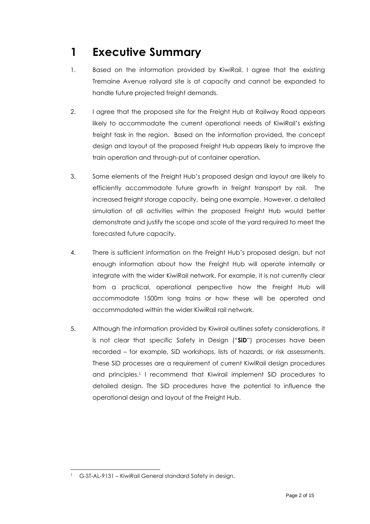# <span id="page-1-0"></span>**1 Executive Summary**

- 1. Based on the information provided by KiwiRail, I agree that the existing Tremaine Avenue railyard site is at capacity and cannot be expanded to handle future projected freight demands.
- 2. I agree that the proposed site for the Freight Hub at Railway Road appears likely to accommodate the current operational needs of KiwiRail's existing freight task in the region. Based on the information provided, the concept design and layout of the proposed Freight Hub appears likely to improve the train operation and through-put of container operation.
- 3. Some elements of the Freight Hub's proposed design and layout are likely to efficiently accommodate future growth in freight transport by rail. The increased freight storage capacity, being one example. However, a detailed simulation of all activities within the proposed Freight Hub would better demonstrate and justify the scope and scale of the yard required to meet the forecasted future capacity.
- 4. There is sufficient information on the Freight Hub's proposed design, but not enough information about how the Freight Hub will operate internally or integrate with the wider KiwiRail network. For example, it is not currently clear from a practical, operational perspective how the Freight Hub will accommodate 1500m long trains or how these will be operated and accommodated within the wider KiwiRail rail network.
- 5. Although the information provided by Kiwirail outlines safety considerations, it is not clear that specific Safety in Design ("**SiD**") processes have been recorded – for example, SiD workshops, lists of hazards, or risk assessments. These SiD processes are a requirement of current KiwiRail design procedures and principles. 1 I recommend that Kiwirail implement SiD procedures to detailed design. The SiD procedures have the potential to influence the operational design and layout of the Freight Hub.

<sup>1</sup> G-ST-AL-9131 – KiwiRail General standard Safety in design.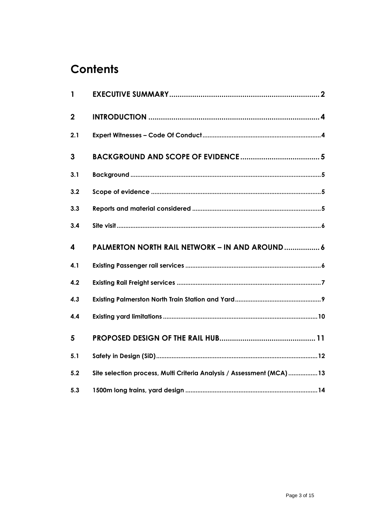# **Contents**

| $\mathbf{1}$ |                                                                       |
|--------------|-----------------------------------------------------------------------|
| $\mathbf{2}$ |                                                                       |
| 2.1          |                                                                       |
| 3            |                                                                       |
| 3.1          |                                                                       |
| 3.2          |                                                                       |
| 3.3          |                                                                       |
| 3.4          |                                                                       |
| 4            | <b>PALMERTON NORTH RAIL NETWORK - IN AND AROUND 6</b>                 |
| 4.1          |                                                                       |
| 4.2          |                                                                       |
| 4.3          |                                                                       |
| 4.4          |                                                                       |
| 5            |                                                                       |
| 5.1          |                                                                       |
|              |                                                                       |
| 5.2          | Site selection process, Multi Criteria Analysis / Assessment (MCA) 13 |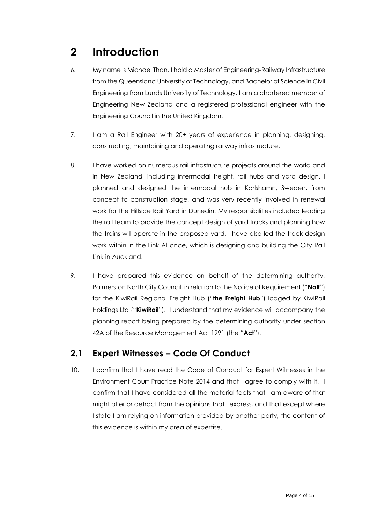# <span id="page-3-0"></span>**2 Introduction**

- 6. My name is Michael Than. I hold a Master of Engineering-Railway Infrastructure from the Queensland University of Technology, and Bachelor of Science in Civil Engineering from Lunds University of Technology. I am a chartered member of Engineering New Zealand and a registered professional engineer with the Engineering Council in the United Kingdom.
- 7. I am a Rail Engineer with 20+ years of experience in planning, designing, constructing, maintaining and operating railway infrastructure.
- 8. I have worked on numerous rail infrastructure projects around the world and in New Zealand, including intermodal freight, rail hubs and yard design. I planned and designed the intermodal hub in Karlshamn, Sweden, from concept to construction stage, and was very recently involved in renewal work for the Hillside Rail Yard in Dunedin. My responsibilities included leading the rail team to provide the concept design of yard tracks and planning how the trains will operate in the proposed yard. I have also led the track design work within in the Link Alliance, which is designing and building the City Rail Link in Auckland.
- 9. I have prepared this evidence on behalf of the determining authority, Palmerston North City Council, in relation to the Notice of Requirement ("**NoR**") for the KiwiRail Regional Freight Hub ("**the Freight Hub**") lodged by KiwiRail Holdings Ltd ("**KiwiRail**"). I understand that my evidence will accompany the planning report being prepared by the determining authority under section 42A of the Resource Management Act 1991 (the "**Act**").

### <span id="page-3-1"></span>**2.1 Expert Witnesses – Code Of Conduct**

10. I confirm that I have read the Code of Conduct for Expert Witnesses in the Environment Court Practice Note 2014 and that I agree to comply with it. I confirm that I have considered all the material facts that I am aware of that might alter or detract from the opinions that I express, and that except where I state I am relying on information provided by another party, the content of this evidence is within my area of expertise.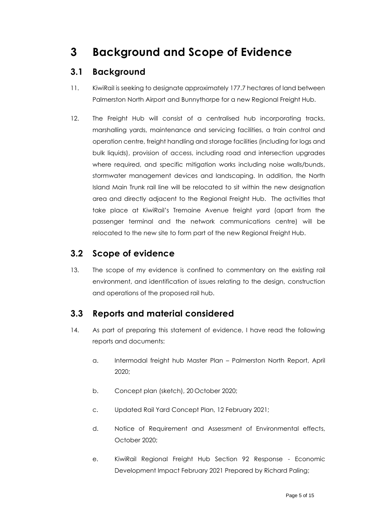## <span id="page-4-0"></span>**3 Background and Scope of Evidence**

### <span id="page-4-1"></span>**3.1 Background**

- 11. KiwiRail is seeking to designate approximately 177.7 hectares of land between Palmerston North Airport and Bunnythorpe for a new Regional Freight Hub.
- 12. The Freight Hub will consist of a centralised hub incorporating tracks, marshalling yards, maintenance and servicing facilities, a train control and operation centre, freight handling and storage facilities (including for logs and bulk liquids), provision of access, including road and intersection upgrades where required, and specific mitigation works including noise walls/bunds, stormwater management devices and landscaping. In addition, the North Island Main Trunk rail line will be relocated to sit within the new designation area and directly adjacent to the Regional Freight Hub. The activities that take place at KiwiRail's Tremaine Avenue freight yard (apart from the passenger terminal and the network communications centre) will be relocated to the new site to form part of the new Regional Freight Hub.

### <span id="page-4-2"></span>**3.2 Scope of evidence**

13. The scope of my evidence is confined to commentary on the existing rail environment, and identification of issues relating to the design, construction and operations of the proposed rail hub.

### <span id="page-4-3"></span>**3.3 Reports and material considered**

- 14. As part of preparing this statement of evidence, I have read the following reports and documents:
	- a. Intermodal freight hub Master Plan Palmerston North Report, April 2020;
	- b. Concept plan (sketch), 20 October 2020;
	- c. Updated Rail Yard Concept Plan, 12 February 2021;
	- d. Notice of Requirement and Assessment of Environmental effects, October 2020;
	- e. KiwiRail Regional Freight Hub Section 92 Response Economic Development Impact February 2021 Prepared by Richard Paling;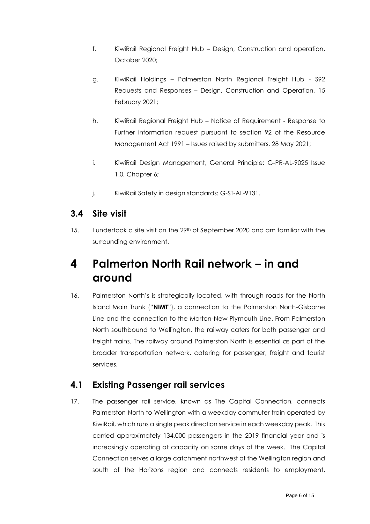- f. KiwiRail Regional Freight Hub Design, Construction and operation, October 2020;
- g. KiwiRail Holdings Palmerston North Regional Freight Hub S92 Requests and Responses – Design, Construction and Operation, 15 February 2021;
- h. KiwiRail Regional Freight Hub Notice of Requirement Response to Further information request pursuant to section 92 of the Resource Management Act 1991 – Issues raised by submitters, 28 May 2021;
- i. KiwiRail Design Management, General Principle: G-PR-AL-9025 Issue 1.0, Chapter 6;
- j. KiwiRail Safety in design standards: G-ST-AL-9131.

#### <span id="page-5-0"></span>**3.4 Site visit**

15. I undertook a site visit on the 29<sup>th</sup> of September 2020 and am familiar with the surrounding environment.

### <span id="page-5-1"></span>**4 Palmerton North Rail network – in and around**

16. Palmerston North's is strategically located, with through roads for the North Island Main Trunk ("**NIMT**"), a connection to the Palmerston North-Gisborne Line and the connection to the Marton-New Plymouth Line. From Palmerston North southbound to Wellington, the railway caters for both passenger and freight trains. The railway around Palmerston North is essential as part of the broader transportation network, catering for passenger, freight and tourist services.

### <span id="page-5-2"></span>**4.1 Existing Passenger rail services**

17. The passenger rail service, known as The Capital Connection, connects Palmerston North to Wellington with a weekday commuter train operated by KiwiRail, which runs a single peak direction service in each weekday peak. This carried approximately 134,000 passengers in the 2019 financial year and is increasingly operating at capacity on some days of the week. The Capital Connection serves a large catchment northwest of the Wellington region and south of the Horizons region and connects residents to employment,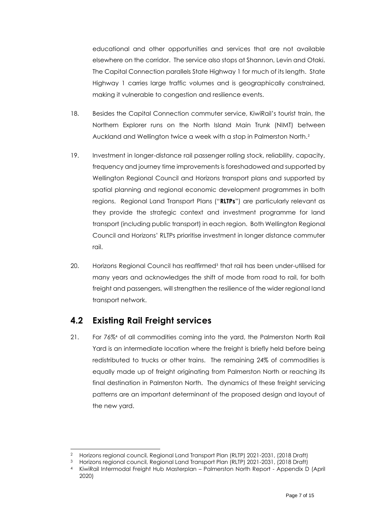educational and other opportunities and services that are not available elsewhere on the corridor. The service also stops at Shannon, Levin and Otaki. The Capital Connection parallels State Highway 1 for much of its length. State Highway 1 carries large traffic volumes and is geographically constrained, making it vulnerable to congestion and resilience events.

- 18. Besides the Capital Connection commuter service, KiwiRail's tourist train, the Northern Explorer runs on the North Island Main Trunk (NIMT) between Auckland and Wellington twice a week with a stop in Palmerston North.<sup>2</sup>
- 19. Investment in longer-distance rail passenger rolling stock, reliability, capacity, frequency and journey time improvements is foreshadowed and supported by Wellington Regional Council and Horizons transport plans and supported by spatial planning and regional economic development programmes in both regions. Regional Land Transport Plans ("**RLTPs**") are particularly relevant as they provide the strategic context and investment programme for land transport (including public transport) in each region. Both Wellington Regional Council and Horizons' RLTPs prioritise investment in longer distance commuter rail.
- 20. Horizons Regional Council has reaffirmed<sup>3</sup> that rail has been under-utilised for many years and acknowledges the shift of mode from road to rail, for both freight and passengers, will strengthen the resilience of the wider regional land transport network.

### <span id="page-6-0"></span>**4.2 Existing Rail Freight services**

21. For 76%<sup>4</sup> of all commodities coming into the yard, the Palmerston North Rail Yard is an intermediate location where the freight is briefly held before being redistributed to trucks or other trains. The remaining 24% of commodities is equally made up of freight originating from Palmerston North or reaching its final destination in Palmerston North. The dynamics of these freight servicing patterns are an important determinant of the proposed design and layout of the new yard.

<sup>2</sup> Horizons regional council, Regional Land Transport Plan (RLTP) 2021-2031, (2018 Draft)

<sup>3</sup> Horizons regional council, Regional Land Transport Plan (RLTP) 2021-2031, (2018 Draft)

<sup>4</sup> KiwiRail Intermodal Freight Hub Masterplan – Palmerston North Report - Appendix D (April 2020)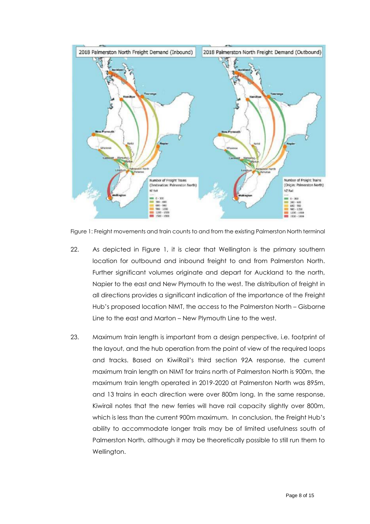

Figure 1: Freight movements and train counts to and from the existing Palmerston North terminal

- 22. As depicted in Figure 1, it is clear that Wellington is the primary southern location for outbound and inbound freight to and from Palmerston North. Further significant volumes originate and depart for Auckland to the north, Napier to the east and New Plymouth to the west. The distribution of freight in all directions provides a significant indication of the importance of the Freight Hub's proposed location NIMT, the access to the Palmerston North – Gisborne Line to the east and Marton – New Plymouth Line to the west.
- 23. Maximum train length is important from a design perspective, i.e. footprint of the layout, and the hub operation from the point of view of the required loops and tracks. Based on KiwiRail's third section 92A response, the current maximum train length on NIMT for trains north of Palmerston North is 900m, the maximum train length operated in 2019-2020 at Palmerston North was 895m, and 13 trains in each direction were over 800m long. In the same response, Kiwirail notes that the new ferries will have rail capacity slightly over 800m, which is less than the current 900m maximum. In conclusion, the Freight Hub's ability to accommodate longer trails may be of limited usefulness south of Palmerston North, although it may be theoretically possible to still run them to Wellington.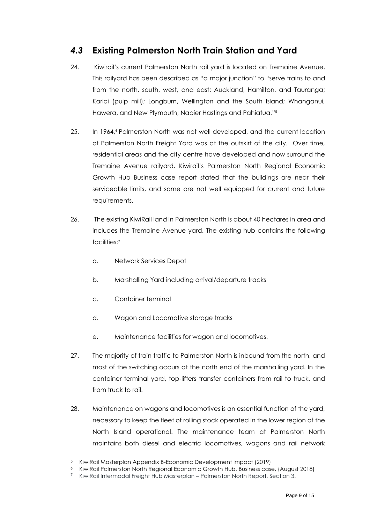### <span id="page-8-0"></span>*4.3* **Existing Palmerston North Train Station and Yard**

- 24. Kiwirail's current Palmerston North rail yard is located on Tremaine Avenue. This railyard has been described as "a major junction" to "serve trains to and from the north, south, west, and east: Auckland, Hamilton, and Tauranga; Karioi (pulp mill); Longburn, Wellington and the South Island; Whanganui, Hawera, and New Plymouth; Napier Hastings and Pahiatua." 5
- 25. In 1964,<sup>6</sup> Palmerston North was not well developed, and the current location of Palmerston North Freight Yard was at the outskirt of the city. Over time, residential areas and the city centre have developed and now surround the Tremaine Avenue railyard. Kiwirail's Palmerston North Regional Economic Growth Hub Business case report stated that the buildings are near their serviceable limits, and some are not well equipped for current and future requirements.
- 26. The existing KiwiRail land in Palmerston North is about 40 hectares in area and includes the Tremaine Avenue yard. The existing hub contains the following facilities: 7
	- a. Network Services Depot
	- b. Marshalling Yard including arrival/departure tracks
	- c. Container terminal
	- d. Wagon and Locomotive storage tracks
	- e. Maintenance facilities for wagon and locomotives.
- 27. The majority of train traffic to Palmerston North is inbound from the north, and most of the switching occurs at the north end of the marshalling yard. In the container terminal yard, top-lifters transfer containers from rail to truck, and from truck to rail.
- 28. Maintenance on wagons and locomotives is an essential function of the yard, necessary to keep the fleet of rolling stock operated in the lower region of the North Island operational. The maintenance team at Palmerston North maintains both diesel and electric locomotives, wagons and rail network

<sup>5</sup> KiwiRail Masterplan Appendix B-Economic Development impact (2019)

<sup>6</sup> KiwiRail Palmerston North Regional Economic Growth Hub, Business case, (August 2018)

<sup>7</sup> KiwiRail Intermodal Freight Hub Masterplan – Palmerston North Report, Section 3.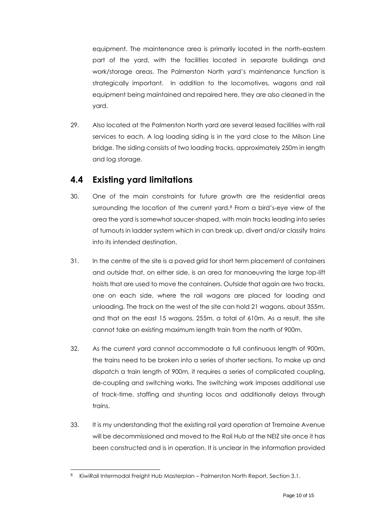equipment. The maintenance area is primarily located in the north-eastern part of the yard, with the facilities located in separate buildings and work/storage areas. The Palmerston North yard's maintenance function is strategically important. In addition to the locomotives, wagons and rail equipment being maintained and repaired here, they are also cleaned in the yard.

29. Also located at the Palmerston North yard are several leased facilities with rail services to each. A log loading siding is in the yard close to the Milson Line bridge. The siding consists of two loading tracks, approximately 250m in length and log storage.

### <span id="page-9-0"></span>**4.4 Existing yard limitations**

- 30. One of the main constraints for future growth are the residential areas surrounding the location of the current yard.<sup>8</sup> From a bird's-eye view of the area the yard is somewhat saucer-shaped, with main tracks leading into series of turnouts in ladder system which in can break up, divert and/or classify trains into its intended destination.
- 31. In the centre of the site is a paved grid for short term placement of containers and outside that, on either side, is an area for manoeuvring the large top-lift hoists that are used to move the containers. Outside that again are two tracks, one on each side, where the rail wagons are placed for loading and unloading. The track on the west of the site can hold 21 wagons, about 355m, and that on the east 15 wagons, 255m, a total of 610m. As a result, the site cannot take an existing maximum length train from the north of 900m.
- 32. As the current yard cannot accommodate a full continuous length of 900m, the trains need to be broken into a series of shorter sections. To make up and dispatch a train length of 900m, it requires a series of complicated coupling, de-coupling and switching works. The switching work imposes additional use of track-time, staffing and shunting locos and additionally delays through trains.
- 33. It is my understanding that the existing rail yard operation at Tremaine Avenue will be decommissioned and moved to the Rail Hub at the NEIZ site once it has been constructed and is in operation. It is unclear in the information provided

<sup>8</sup> KiwiRail Intermodal Freight Hub Masterplan – Palmerston North Report, Section 3.1.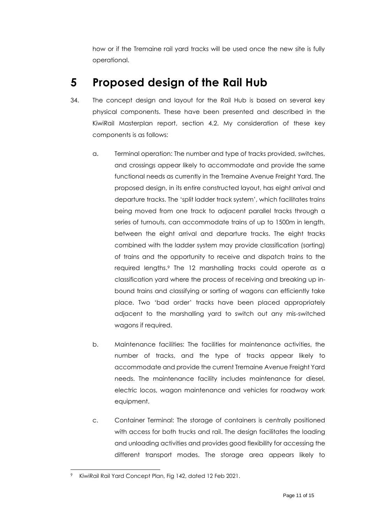how or if the Tremaine rail yard tracks will be used once the new site is fully operational.

## <span id="page-10-0"></span>**5 Proposed design of the Rail Hub**

- 34. The concept design and layout for the Rail Hub is based on several key physical components. These have been presented and described in the KiwiRail Masterplan report, section 4.2. My consideration of these key components is as follows:
	- a. Terminal operation: The number and type of tracks provided, switches, and crossings appear likely to accommodate and provide the same functional needs as currently in the Tremaine Avenue Freight Yard. The proposed design, in its entire constructed layout, has eight arrival and departure tracks. The 'split ladder track system', which facilitates trains being moved from one track to adjacent parallel tracks through a series of turnouts, can accommodate trains of up to 1500m in length, between the eight arrival and departure tracks. The eight tracks combined with the ladder system may provide classification (sorting) of trains and the opportunity to receive and dispatch trains to the required lengths. <sup>9</sup> The 12 marshalling tracks could operate as a classification yard where the process of receiving and breaking up inbound trains and classifying or sorting of wagons can efficiently take place. Two 'bad order' tracks have been placed appropriately adjacent to the marshalling yard to switch out any mis-switched wagons if required.
	- b. Maintenance facilities: The facilities for maintenance activities, the number of tracks, and the type of tracks appear likely to accommodate and provide the current Tremaine Avenue Freight Yard needs. The maintenance facility includes maintenance for diesel, electric locos, wagon maintenance and vehicles for roadway work equipment.
	- c. Container Terminal: The storage of containers is centrally positioned with access for both trucks and rail. The design facilitates the loading and unloading activities and provides good flexibility for accessing the different transport modes. The storage area appears likely to

KiwiRail Rail Yard Concept Plan, Fig 142, dated 12 Feb 2021.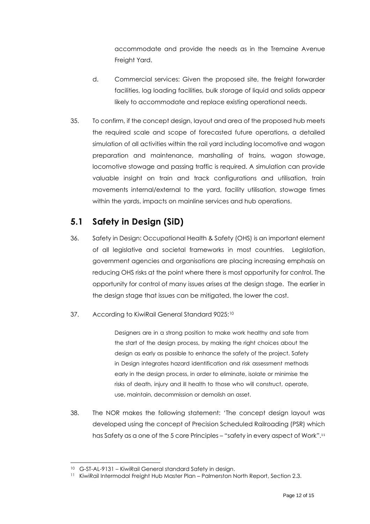accommodate and provide the needs as in the Tremaine Avenue Freight Yard.

- d. Commercial services: Given the proposed site, the freight forwarder facilities, log loading facilities, bulk storage of liquid and solids appear likely to accommodate and replace existing operational needs.
- 35. To confirm, if the concept design, layout and area of the proposed hub meets the required scale and scope of forecasted future operations, a detailed simulation of all activities within the rail yard including locomotive and wagon preparation and maintenance, marshalling of trains, wagon stowage, locomotive stowage and passing traffic is required. A simulation can provide valuable insight on train and track configurations and utilisation, train movements internal/external to the yard, facility utilisation, stowage times within the yards, impacts on mainline services and hub operations.

### <span id="page-11-0"></span>**5.1 Safety in Design (SiD)**

- 36. Safety in Design: Occupational Health & Safety (OHS) is an important element of all legislative and societal frameworks in most countries. Legislation, government agencies and organisations are placing increasing emphasis on reducing OHS risks at the point where there is most opportunity for control. The opportunity for control of many issues arises at the design stage. The earlier in the design stage that issues can be mitigated, the lower the cost.
- 37. According to KiwiRail General Standard 9025:<sup>10</sup>

Designers are in a strong position to make work healthy and safe from the start of the design process, by making the right choices about the design as early as possible to enhance the safety of the project. Safety in Design integrates hazard identification and risk assessment methods early in the design process, in order to eliminate, isolate or minimise the risks of death, injury and ill health to those who will construct, operate, use, maintain, decommission or demolish an asset.

38. The NOR makes the following statement: 'The concept design layout was developed using the concept of Precision Scheduled Railroading (PSR) which has Safety as a one of the 5 core Principles – "safety in every aspect of Work".<sup>11</sup>

<sup>10</sup> G-ST-AL-9131 – KiwiRail General standard Safety in design.

<sup>&</sup>lt;sup>11</sup> KiwiRail Intermodal Freight Hub Master Plan – Palmerston North Report, Section 2.3.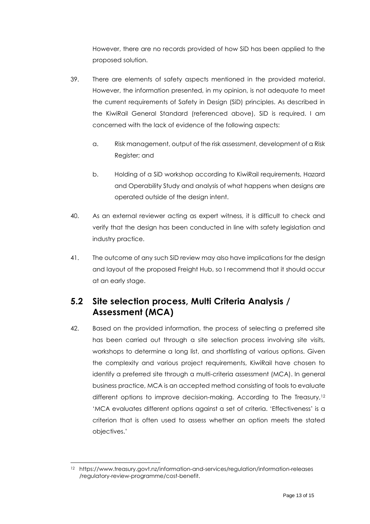However, there are no records provided of how SiD has been applied to the proposed solution.

- 39. There are elements of safety aspects mentioned in the provided material. However, the information presented, in my opinion, is not adequate to meet the current requirements of Safety in Design (SiD) principles. As described in the KiwiRail General Standard (referenced above), SiD is required. I am concerned with the lack of evidence of the following aspects:
	- a. Risk management, output of the risk assessment, development of a Risk Register; and
	- b. Holding of a SiD workshop according to KiwiRail requirements, Hazard and Operability Study and analysis of what happens when designs are operated outside of the design intent.
- 40. As an external reviewer acting as expert witness, it is difficult to check and verify that the design has been conducted in line with safety legislation and industry practice.
- 41. The outcome of any such SiD review may also have implications for the design and layout of the proposed Freight Hub, so I recommend that it should occur at an early stage.

### <span id="page-12-0"></span>**5.2 Site selection process, Multi Criteria Analysis / Assessment (MCA)**

42. Based on the provided information, the process of selecting a preferred site has been carried out through a site selection process involving site visits, workshops to determine a long list, and shortlisting of various options. Given the complexity and various project requirements, KiwiRail have chosen to identify a preferred site through a multi-criteria assessment (MCA). In general business practice, MCA is an accepted method consisting of tools to evaluate different options to improve decision-making. According to The Treasury,<sup>12</sup> 'MCA evaluates different options against a set of criteria. 'Effectiveness' is a criterion that is often used to assess whether an option meets the stated objectives.'

<sup>12</sup> https://www.treasury.govt.nz/information-and-services/regulation/information-releases /regulatory-review-programme/cost-benefit.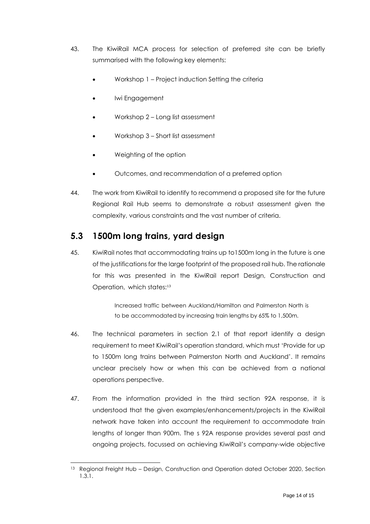- 43. The KiwiRail MCA process for selection of preferred site can be briefly summarised with the following key elements:
	- Workshop 1 Project induction Setting the criteria
	- Iwi Engagement
	- Workshop 2 Long list assessment
	- Workshop 3 Short list assessment
	- Weighting of the option
	- Outcomes, and recommendation of a preferred option
- 44. The work from KiwiRail to identify to recommend a proposed site for the future Regional Rail Hub seems to demonstrate a robust assessment given the complexity, various constraints and the vast number of criteria.

#### <span id="page-13-0"></span>**5.3 1500m long trains, yard design**

45. KiwiRail notes that accommodating trains up to1500m long in the future is one of the justifications for the large footprint of the proposed rail hub. The rationale for this was presented in the KiwiRail report Design, Construction and Operation, which states:<sup>13</sup>

> Increased traffic between Auckland/Hamilton and Palmerston North is to be accommodated by increasing train lengths by 65% to 1,500m.

- 46. The technical parameters in section 2.1 of that report identify a design requirement to meet KiwiRail's operation standard, which must 'Provide for up to 1500m long trains between Palmerston North and Auckland'. It remains unclear precisely how or when this can be achieved from a national operations perspective.
- 47. From the information provided in the third section 92A response, it is understood that the given examples/enhancements/projects in the KiwiRail network have taken into account the requirement to accommodate train lengths of longer than 900m. The s 92A response provides several past and ongoing projects, focussed on achieving KiwiRail's company-wide objective

<sup>13</sup> Regional Freight Hub - Design, Construction and Operation dated October 2020, Section 1.3.1.